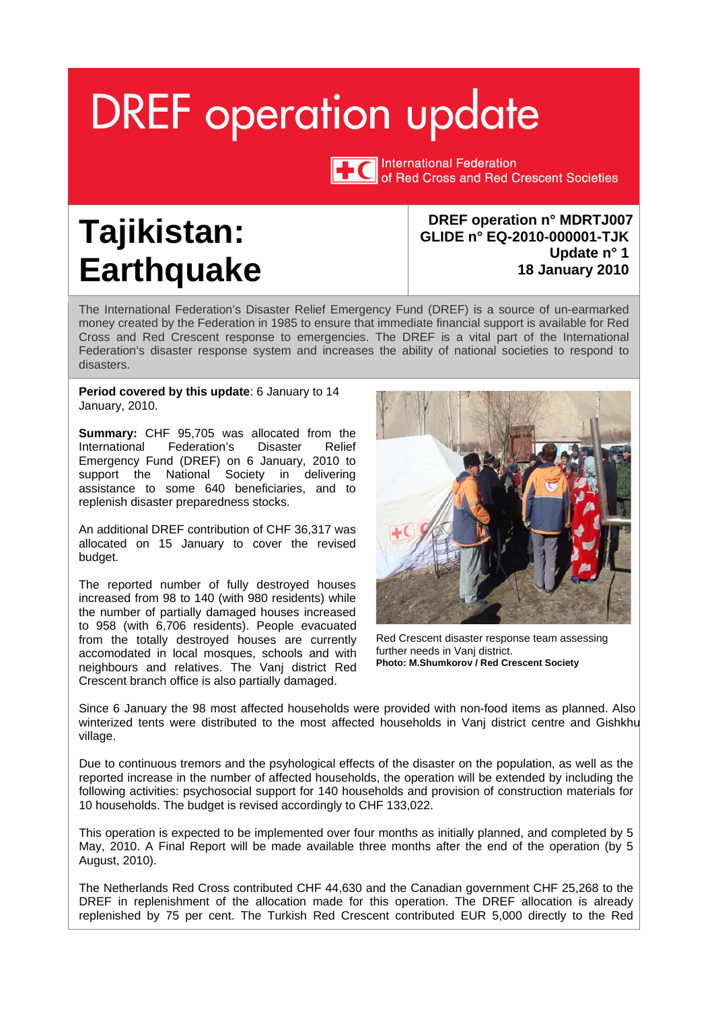# <span id="page-0-0"></span>**DREF** operation update



International Federation of Red Cross and Red Crescent Societies

## **Tajikistan: Earthquake**

**DREF operation n° MDRTJ007 GLIDE n° EQ-2010-000001-TJK Update n° 1 18 January 2010** 

The International Federation's Disaster Relief Emergency Fund (DREF) is a source of un-earmarked money created by the Federation in 1985 to ensure that immediate financial support is available for Red Cross and Red Crescent response to emergencies. The DREF is a vital part of the International Federation's disaster response system and increases the ability of national societies to respond to disasters.

**Period covered by this update**: 6 January to 14 January, 2010.

**Summary:** CHF 95,705 was allocated from the International Federation's Disaster Relief Emergency Fund (DREF) on 6 January, 2010 to support the National Society in delivering assistance to some 640 beneficiaries, and to replenish disaster preparedness stocks.

An additional DREF contribution of CHF 36,317 was allocated on 15 January to cover the revised budget.

The reported number of fully destroyed houses increased from 98 to 140 (with 980 residents) while the number of partially damaged houses increased to 958 (with 6,706 residents). People evacuated from the totally destroyed houses are currently accomodated in local mosques, schools and with neighbours and relatives. The Vanj district Red Crescent branch office is also partially damaged.



Red Crescent disaster response team assessing further needs in Vanj district. **Photo: M.Shumkorov / Red Crescent Society**

Since 6 January the 98 most affected households were provided with non-food items as planned. Also winterized tents were distributed to the most affected households in Vanj district centre and Gishkhu village.

Due to continuous tremors and the psyhological effects of the disaster on the population, as well as the reported increase in the number of affected households, the operation will be extended by including the following activities: psychosocial support for 140 households and provision of construction materials for 10 households. The budget is revised accordingly to CHF 133,022.

This operation is expected to be implemented over four months as initially planned, and completed by 5 May, 2010. A Final Report will be made available three months after the end of the operation (by 5 August, 2010).

The Netherlands Red Cross contributed CHF 44,630 and the Canadian government CHF 25,268 to the DREF in replenishment of the allocation made for this operation. The DREF allocation is already replenished by 75 per cent. The Turkish Red Crescent contributed EUR 5,000 directly to the Red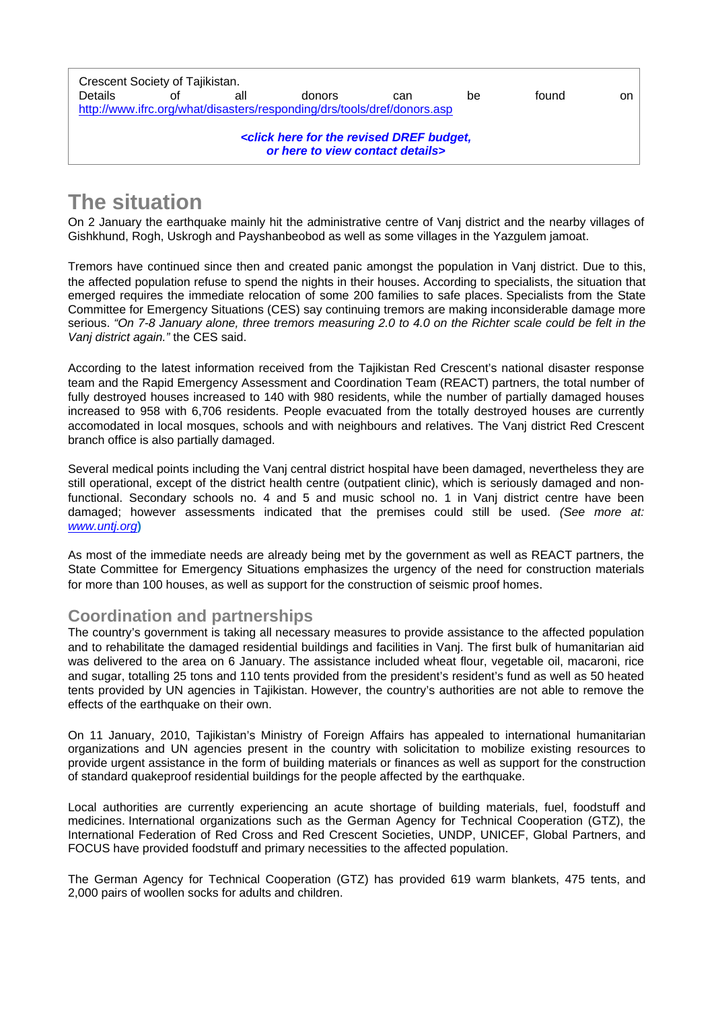| Crescent Society of Tajikistan.                                         |    |     |                                                                                                                |     |    |       |    |  |  |
|-------------------------------------------------------------------------|----|-----|----------------------------------------------------------------------------------------------------------------|-----|----|-------|----|--|--|
| <b>Details</b>                                                          | Ωf | all | donors                                                                                                         | can | be | found | on |  |  |
| http://www.ifrc.org/what/disasters/responding/drs/tools/dref/donors.asp |    |     |                                                                                                                |     |    |       |    |  |  |
|                                                                         |    |     |                                                                                                                |     |    |       |    |  |  |
|                                                                         |    |     | <click budget,<="" dref="" for="" here="" revised="" td="" the=""><td></td><td></td><td></td><td></td></click> |     |    |       |    |  |  |
|                                                                         |    |     | or here to view contact details>                                                                               |     |    |       |    |  |  |
|                                                                         |    |     |                                                                                                                |     |    |       |    |  |  |

### **The situation**

On 2 January the earthquake mainly hit the administrative centre of Vanj district and the nearby villages of Gishkhund, Rogh, Uskrogh and Payshanbeobod as well as some villages in the Yazgulem jamoat.

Tremors have continued since then and created panic amongst the population in Vanj district. Due to this, the affected population refuse to spend the nights in their houses. According to specialists, the situation that emerged requires the immediate relocation of some 200 families to safe places. Specialists from the State Committee for Emergency Situations (CES) say continuing tremors are making inconsiderable damage more serious. *"On 7-8 January alone, three tremors measuring 2.0 to 4.0 on the Richter scale could be felt in the Vanj district again."* the CES said.

According to the latest information received from the Tajikistan Red Crescent's national disaster response team and the Rapid Emergency Assessment and Coordination Team (REACT) partners, the total number of fully destroyed houses increased to 140 with 980 residents, while the number of partially damaged houses increased to 958 with 6,706 residents. People evacuated from the totally destroyed houses are currently accomodated in local mosques, schools and with neighbours and relatives. The Vanj district Red Crescent branch office is also partially damaged.

Several medical points including the Vanj central district hospital have been damaged, nevertheless they are still operational, except of the district health centre (outpatient clinic), which is seriously damaged and nonfunctional. Secondary schools no. 4 and 5 and music school no. 1 in Vanj district centre have been damaged; however assessments indicated that the premises could still be used. *(See more at: www.untj.org***)** 

As most of the immediate needs are already being met by the government as well as REACT partners, the State Committee for Emergency Situations emphasizes the urgency of the need for construction materials for more than 100 houses, as well as support for the construction of seismic proof homes.

#### **Coordination and partnerships**

The country's government is taking all necessary measures to provide assistance to the affected population and to rehabilitate the damaged residential buildings and facilities in Vanj. The first bulk of humanitarian aid was delivered to the area on 6 January. The assistance included wheat flour, vegetable oil, macaroni, rice and sugar, totalling 25 tons and 110 tents provided from the president's resident's fund as well as 50 heated tents provided by UN agencies in Tajikistan. However, the country's authorities are not able to remove the effects of the earthquake on their own.

On 11 January, 2010, Tajikistan's Ministry of Foreign Affairs has appealed to international humanitarian organizations and UN agencies present in the country with solicitation to mobilize existing resources to provide urgent assistance in the form of building materials or finances as well as support for the construction of standard quakeproof residential buildings for the people affected by the earthquake.

Local authorities are currently experiencing an acute shortage of building materials, fuel, foodstuff and medicines. International organizations such as the German Agency for Technical Cooperation (GTZ), the International Federation of Red Cross and Red Crescent Societies, UNDP, UNICEF, Global Partners, and FOCUS have provided foodstuff and primary necessities to the affected population.

The German Agency for Technical Cooperation (GTZ) has provided 619 warm blankets, 475 tents, and 2,000 pairs of woollen socks for adults and children.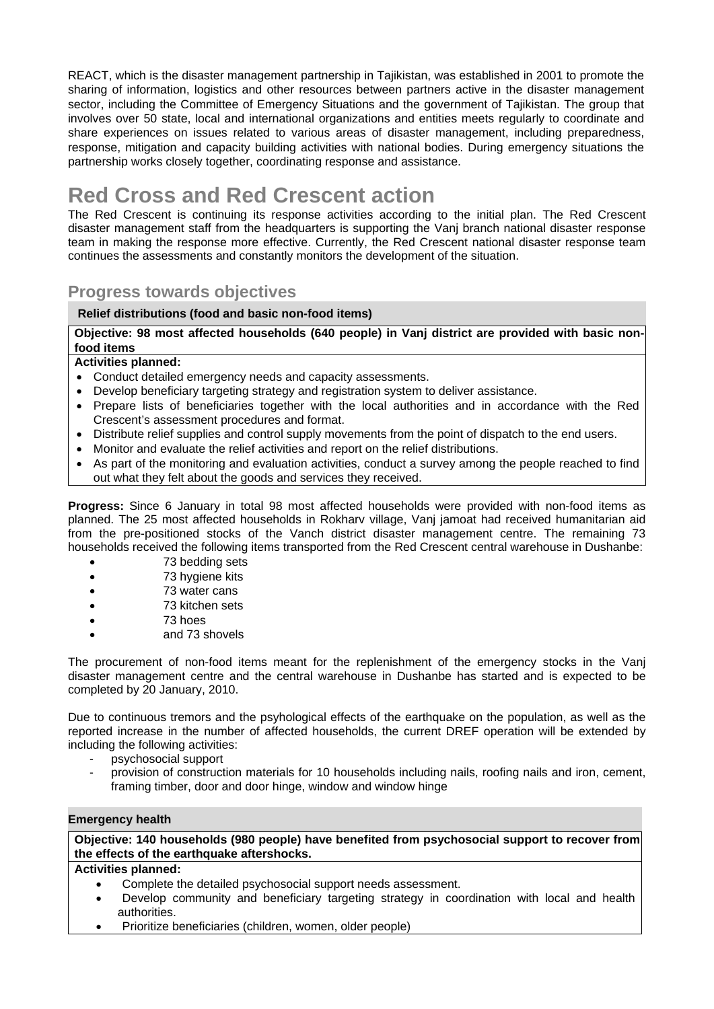REACT, which is the disaster management partnership in Tajikistan, was established in 2001 to promote the sharing of information, logistics and other resources between partners active in the disaster management sector, including the Committee of Emergency Situations and the government of Tajikistan. The group that involves over 50 state, local and international organizations and entities meets regularly to coordinate and share experiences on issues related to various areas of disaster management, including preparedness, response, mitigation and capacity building activities with national bodies. During emergency situations the partnership works closely together, coordinating response and assistance.

## **Red Cross and Red Crescent action**

The Red Crescent is continuing its response activities according to the initial plan. The Red Crescent disaster management staff from the headquarters is supporting the Vanj branch national disaster response team in making the response more effective. Currently, the Red Crescent national disaster response team continues the assessments and constantly monitors the development of the situation.

#### **Progress towards objectives**

#### **Relief distributions (food and basic non-food items)**

#### **Objective: 98 most affected households (640 people) in Vanj district are provided with basic nonfood items**

#### **Activities planned:**

- Conduct detailed emergency needs and capacity assessments.
- Develop beneficiary targeting strategy and registration system to deliver assistance.
- Prepare lists of beneficiaries together with the local authorities and in accordance with the Red Crescent's assessment procedures and format.
- Distribute relief supplies and control supply movements from the point of dispatch to the end users.
- Monitor and evaluate the relief activities and report on the relief distributions.
- As part of the monitoring and evaluation activities, conduct a survey among the people reached to find out what they felt about the goods and services they received.

**Progress:** Since 6 January in total 98 most affected households were provided with non-food items as planned. The 25 most affected households in Rokharv village, Vanj jamoat had received humanitarian aid from the pre-positioned stocks of the Vanch district disaster management centre. The remaining 73 households received the following items transported from the Red Crescent central warehouse in Dushanbe:

- 73 bedding sets
- 73 hygiene kits
- 73 water cans
- 73 kitchen sets
- 73 hoes
- and 73 shovels

The procurement of non-food items meant for the replenishment of the emergency stocks in the Vanj disaster management centre and the central warehouse in Dushanbe has started and is expected to be completed by 20 January, 2010.

Due to continuous tremors and the psyhological effects of the earthquake on the population, as well as the reported increase in the number of affected households, the current DREF operation will be extended by including the following activities:

- psychosocial support
- provision of construction materials for 10 households including nails, roofing nails and iron, cement, framing timber, door and door hinge, window and window hinge

#### **Emergency health**

**Objective: 140 households (980 people) have benefited from psychosocial support to recover from the effects of the earthquake aftershocks.** 

#### **Activities planned:**

- Complete the detailed psychosocial support needs assessment.
- Develop community and beneficiary targeting strategy in coordination with local and health authorities.
- Prioritize beneficiaries (children, women, older people)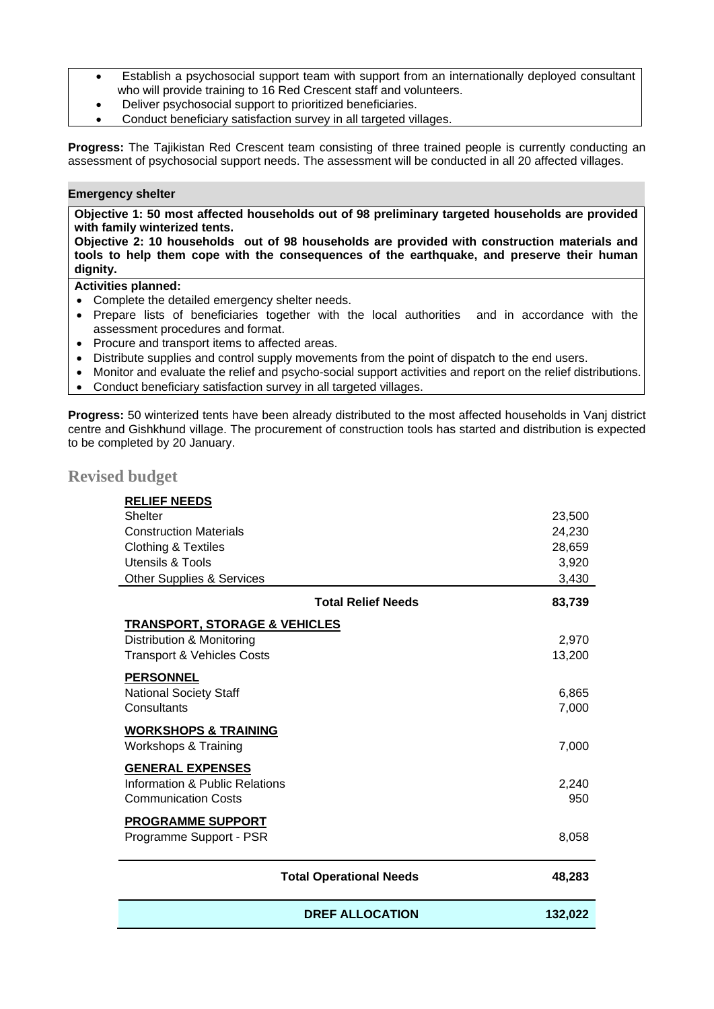- <span id="page-3-0"></span> Establish a psychosocial support team with support from an internationally deployed consultant who will provide training to 16 Red Crescent staff and volunteers.
- Deliver psychosocial support to prioritized beneficiaries.
- Conduct beneficiary satisfaction survey in all targeted villages.

**Progress:** The Tajikistan Red Crescent team consisting of three trained people is currently conducting an assessment of psychosocial support needs. The assessment will be conducted in all 20 affected villages.

#### **Emergency shelter**

**Objective 1: 50 most affected households out of 98 preliminary targeted households are provided with family winterized tents.** 

**Objective 2: 10 households out of 98 households are provided with construction materials and tools to help them cope with the consequences of the earthquake, and preserve their human dignity.**

#### **Activities planned:**

- Complete the detailed emergency shelter needs.
- Prepare lists of beneficiaries together with the local authorities and in accordance with the assessment procedures and format.
- Procure and transport items to affected areas.
- Distribute supplies and control supply movements from the point of dispatch to the end users.
- Monitor and evaluate the relief and psycho-social support activities and report on the relief distributions.
- Conduct beneficiary satisfaction survey in all targeted villages.

**Progress:** 50 winterized tents have been already distributed to the most affected households in Vanj district centre and Gishkhund village. The procurement of construction tools has started and distribution is expected to be completed by 20 January.

#### **Revised budget**

| <b>RELIEF NEEDS</b>                      |         |  |  |  |  |  |
|------------------------------------------|---------|--|--|--|--|--|
| <b>Shelter</b>                           | 23,500  |  |  |  |  |  |
| <b>Construction Materials</b>            | 24,230  |  |  |  |  |  |
| <b>Clothing &amp; Textiles</b>           | 28,659  |  |  |  |  |  |
| <b>Utensils &amp; Tools</b>              | 3,920   |  |  |  |  |  |
| Other Supplies & Services                | 3,430   |  |  |  |  |  |
| <b>Total Relief Needs</b>                | 83,739  |  |  |  |  |  |
| <b>TRANSPORT, STORAGE &amp; VEHICLES</b> |         |  |  |  |  |  |
| Distribution & Monitoring                | 2,970   |  |  |  |  |  |
| <b>Transport &amp; Vehicles Costs</b>    | 13,200  |  |  |  |  |  |
| <b>PERSONNEL</b>                         |         |  |  |  |  |  |
| <b>National Society Staff</b>            | 6,865   |  |  |  |  |  |
| Consultants                              | 7,000   |  |  |  |  |  |
|                                          |         |  |  |  |  |  |
| <b>WORKSHOPS &amp; TRAINING</b>          |         |  |  |  |  |  |
| Workshops & Training                     | 7,000   |  |  |  |  |  |
| <b>GENERAL EXPENSES</b>                  |         |  |  |  |  |  |
| Information & Public Relations           | 2,240   |  |  |  |  |  |
| <b>Communication Costs</b>               | 950     |  |  |  |  |  |
| <b>PROGRAMME SUPPORT</b>                 |         |  |  |  |  |  |
| Programme Support - PSR                  | 8,058   |  |  |  |  |  |
|                                          |         |  |  |  |  |  |
| <b>Total Operational Needs</b>           | 48,283  |  |  |  |  |  |
|                                          |         |  |  |  |  |  |
| <b>DREF ALLOCATION</b>                   | 132,022 |  |  |  |  |  |
|                                          |         |  |  |  |  |  |